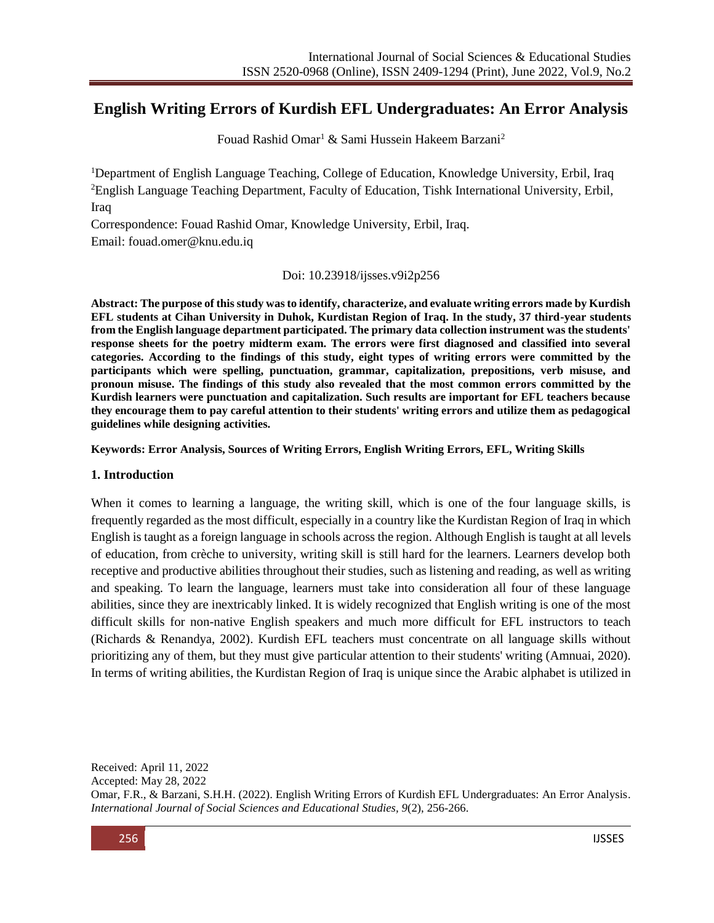# **English Writing Errors of Kurdish EFL Undergraduates: An Error Analysis**

Fouad Rashid Omar<sup>1</sup> & Sami Hussein Hakeem Barzani<sup>2</sup>

<sup>1</sup>Department of English Language Teaching, College of Education, Knowledge University, Erbil, Iraq <sup>2</sup>English Language Teaching Department, Faculty of Education, Tishk International University, Erbil, Iraq

Correspondence: Fouad Rashid Omar, Knowledge University, Erbil, Iraq.

Email: [fouad.omer@knu.edu.iq](mailto:fouad.omer@knu.edu.iq)

#### Doi: 10.23918/ijsses.v9i2p256

**Abstract: The purpose of this study was to identify, characterize, and evaluate writing errors made by Kurdish EFL students at Cihan University in Duhok, Kurdistan Region of Iraq. In the study, 37 third-year students from the English language department participated. The primary data collection instrument was the students' response sheets for the poetry midterm exam. The errors were first diagnosed and classified into several categories. According to the findings of this study, eight types of writing errors were committed by the participants which were spelling, punctuation, grammar, capitalization, prepositions, verb misuse, and pronoun misuse. The findings of this study also revealed that the most common errors committed by the Kurdish learners were punctuation and capitalization. Such results are important for EFL teachers because they encourage them to pay careful attention to their students' writing errors and utilize them as pedagogical guidelines while designing activities.** 

**Keywords: Error Analysis, Sources of Writing Errors, English Writing Errors, EFL, Writing Skills**

#### **1. Introduction**

When it comes to learning a language, the writing skill, which is one of the four language skills, is frequently regarded as the most difficult, especially in a country like the Kurdistan Region of Iraq in which English is taught as a foreign language in schools across the region. Although English is taught at all levels of education, from crèche to university, writing skill is still hard for the learners. Learners develop both receptive and productive abilities throughout their studies, such as listening and reading, as well as writing and speaking. To learn the language, learners must take into consideration all four of these language abilities, since they are inextricably linked. It is widely recognized that English writing is one of the most difficult skills for non-native English speakers and much more difficult for EFL instructors to teach (Richards & Renandya, 2002). Kurdish EFL teachers must concentrate on all language skills without prioritizing any of them, but they must give particular attention to their students' writing (Amnuai, 2020). In terms of writing abilities, the Kurdistan Region of Iraq is unique since the Arabic alphabet is utilized in

Received: April 11, 2022 Accepted: May 28, 2022 Omar, F.R., & Barzani, S.H.H. (2022). English Writing Errors of Kurdish EFL Undergraduates: An Error Analysis. *International Journal of Social Sciences and Educational Studies, 9*(2), 256-266.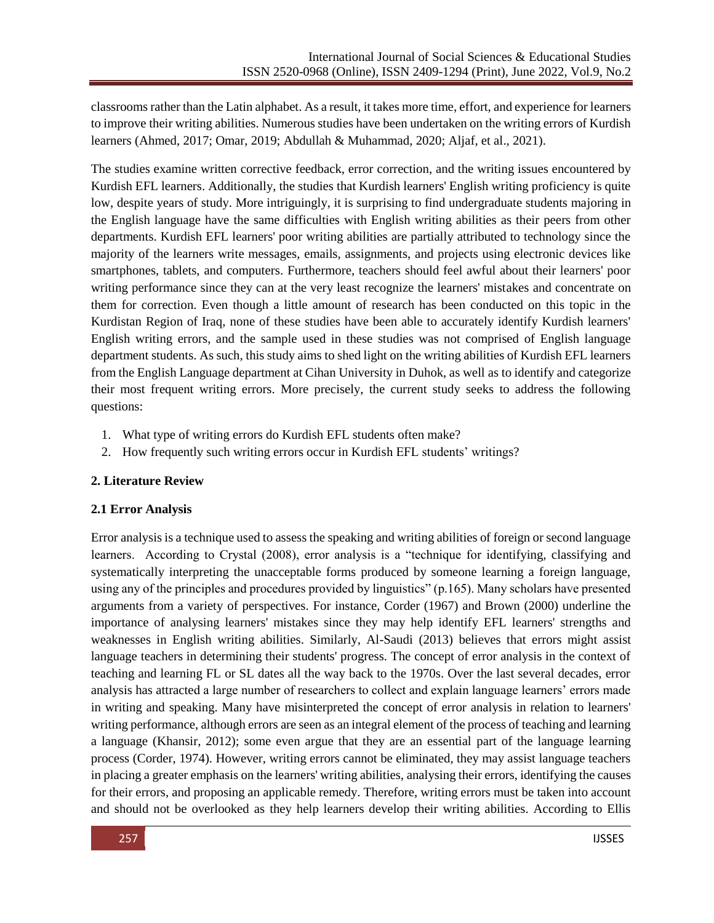classrooms rather than the Latin alphabet. As a result, it takes more time, effort, and experience for learners to improve their writing abilities. Numerous studies have been undertaken on the writing errors of Kurdish learners (Ahmed, 2017; Omar, 2019; Abdullah & Muhammad, 2020; Aljaf, et al., 2021).

The studies examine written corrective feedback, error correction, and the writing issues encountered by Kurdish EFL learners. Additionally, the studies that Kurdish learners' English writing proficiency is quite low, despite years of study. More intriguingly, it is surprising to find undergraduate students majoring in the English language have the same difficulties with English writing abilities as their peers from other departments. Kurdish EFL learners' poor writing abilities are partially attributed to technology since the majority of the learners write messages, emails, assignments, and projects using electronic devices like smartphones, tablets, and computers. Furthermore, teachers should feel awful about their learners' poor writing performance since they can at the very least recognize the learners' mistakes and concentrate on them for correction. Even though a little amount of research has been conducted on this topic in the Kurdistan Region of Iraq, none of these studies have been able to accurately identify Kurdish learners' English writing errors, and the sample used in these studies was not comprised of English language department students. As such, this study aims to shed light on the writing abilities of Kurdish EFL learners from the English Language department at Cihan University in Duhok, as well as to identify and categorize their most frequent writing errors. More precisely, the current study seeks to address the following questions:

- 1. What type of writing errors do Kurdish EFL students often make?
- 2. How frequently such writing errors occur in Kurdish EFL students' writings?

# **2. Literature Review**

# **2.1 Error Analysis**

Error analysis is a technique used to assess the speaking and writing abilities of foreign or second language learners. According to Crystal (2008), error analysis is a "technique for identifying, classifying and systematically interpreting the unacceptable forms produced by someone learning a foreign language, using any of the principles and procedures provided by linguistics" (p.165). Many scholars have presented arguments from a variety of perspectives. For instance, Corder (1967) and Brown (2000) underline the importance of analysing learners' mistakes since they may help identify EFL learners' strengths and weaknesses in English writing abilities. Similarly, Al-Saudi (2013) believes that errors might assist language teachers in determining their students' progress. The concept of error analysis in the context of teaching and learning FL or SL dates all the way back to the 1970s. Over the last several decades, error analysis has attracted a large number of researchers to collect and explain language learners' errors made in writing and speaking. Many have misinterpreted the concept of error analysis in relation to learners' writing performance, although errors are seen as an integral element of the process of teaching and learning a language (Khansir, 2012); some even argue that they are an essential part of the language learning process (Corder, 1974). However, writing errors cannot be eliminated, they may assist language teachers in placing a greater emphasis on the learners' writing abilities, analysing their errors, identifying the causes for their errors, and proposing an applicable remedy. Therefore, writing errors must be taken into account and should not be overlooked as they help learners develop their writing abilities. According to Ellis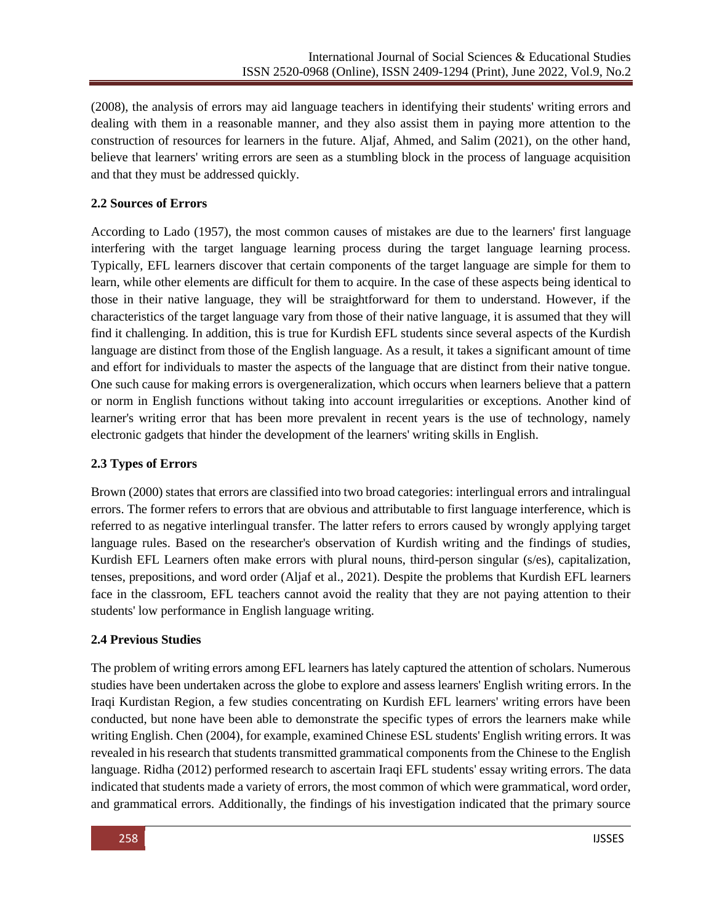(2008), the analysis of errors may aid language teachers in identifying their students' writing errors and dealing with them in a reasonable manner, and they also assist them in paying more attention to the construction of resources for learners in the future. Aljaf, Ahmed, and Salim (2021), on the other hand, believe that learners' writing errors are seen as a stumbling block in the process of language acquisition and that they must be addressed quickly.

## **2.2 Sources of Errors**

According to Lado (1957), the most common causes of mistakes are due to the learners' first language interfering with the target language learning process during the target language learning process. Typically, EFL learners discover that certain components of the target language are simple for them to learn, while other elements are difficult for them to acquire. In the case of these aspects being identical to those in their native language, they will be straightforward for them to understand. However, if the characteristics of the target language vary from those of their native language, it is assumed that they will find it challenging. In addition, this is true for Kurdish EFL students since several aspects of the Kurdish language are distinct from those of the English language. As a result, it takes a significant amount of time and effort for individuals to master the aspects of the language that are distinct from their native tongue. One such cause for making errors is overgeneralization, which occurs when learners believe that a pattern or norm in English functions without taking into account irregularities or exceptions. Another kind of learner's writing error that has been more prevalent in recent years is the use of technology, namely electronic gadgets that hinder the development of the learners' writing skills in English.

### **2.3 Types of Errors**

Brown (2000) states that errors are classified into two broad categories: interlingual errors and intralingual errors. The former refers to errors that are obvious and attributable to first language interference, which is referred to as negative interlingual transfer. The latter refers to errors caused by wrongly applying target language rules. Based on the researcher's observation of Kurdish writing and the findings of studies, Kurdish EFL Learners often make errors with plural nouns, third-person singular (s/es), capitalization, tenses, prepositions, and word order (Aljaf et al., 2021). Despite the problems that Kurdish EFL learners face in the classroom, EFL teachers cannot avoid the reality that they are not paying attention to their students' low performance in English language writing.

### **2.4 Previous Studies**

The problem of writing errors among EFL learners has lately captured the attention of scholars. Numerous studies have been undertaken across the globe to explore and assess learners' English writing errors. In the Iraqi Kurdistan Region, a few studies concentrating on Kurdish EFL learners' writing errors have been conducted, but none have been able to demonstrate the specific types of errors the learners make while writing English. Chen (2004), for example, examined Chinese ESL students' English writing errors. It was revealed in his research that students transmitted grammatical components from the Chinese to the English language. Ridha (2012) performed research to ascertain Iraqi EFL students' essay writing errors. The data indicated that students made a variety of errors, the most common of which were grammatical, word order, and grammatical errors. Additionally, the findings of his investigation indicated that the primary source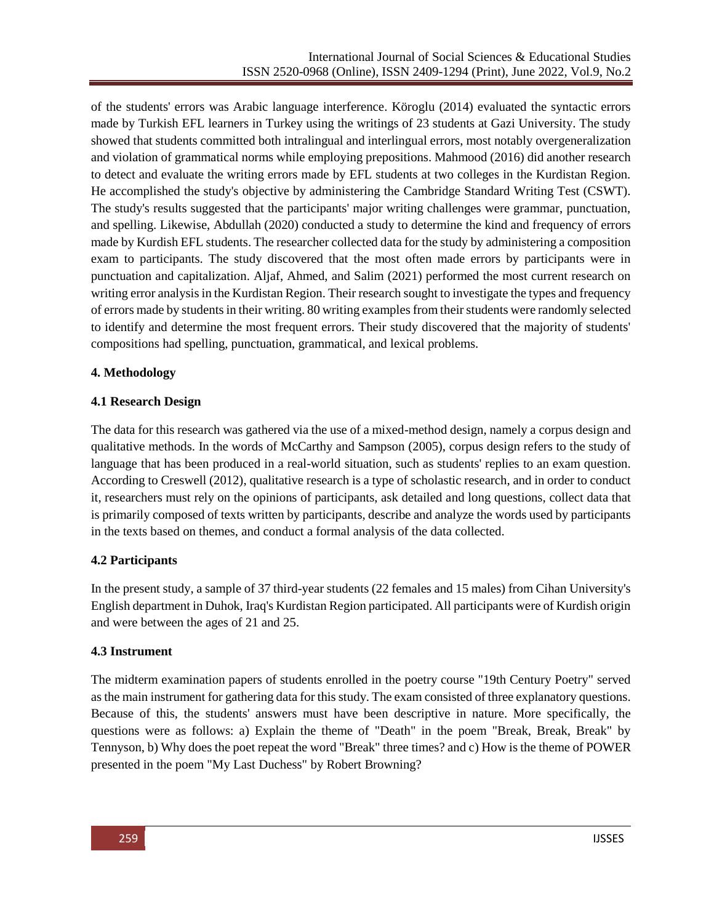of the students' errors was Arabic language interference. Köroglu (2014) evaluated the syntactic errors made by Turkish EFL learners in Turkey using the writings of 23 students at Gazi University. The study showed that students committed both intralingual and interlingual errors, most notably overgeneralization and violation of grammatical norms while employing prepositions. Mahmood (2016) did another research to detect and evaluate the writing errors made by EFL students at two colleges in the Kurdistan Region. He accomplished the study's objective by administering the Cambridge Standard Writing Test (CSWT). The study's results suggested that the participants' major writing challenges were grammar, punctuation, and spelling. Likewise, Abdullah (2020) conducted a study to determine the kind and frequency of errors made by Kurdish EFL students. The researcher collected data for the study by administering a composition exam to participants. The study discovered that the most often made errors by participants were in punctuation and capitalization. Aljaf, Ahmed, and Salim (2021) performed the most current research on writing error analysis in the Kurdistan Region. Their research sought to investigate the types and frequency of errors made by students in their writing. 80 writing examples from their students were randomly selected to identify and determine the most frequent errors. Their study discovered that the majority of students' compositions had spelling, punctuation, grammatical, and lexical problems.

# **4. Methodology**

# **4.1 Research Design**

The data for this research was gathered via the use of a mixed-method design, namely a corpus design and qualitative methods. In the words of McCarthy and Sampson (2005), corpus design refers to the study of language that has been produced in a real-world situation, such as students' replies to an exam question. According to Creswell (2012), qualitative research is a type of scholastic research, and in order to conduct it, researchers must rely on the opinions of participants, ask detailed and long questions, collect data that is primarily composed of texts written by participants, describe and analyze the words used by participants in the texts based on themes, and conduct a formal analysis of the data collected.

# **4.2 Participants**

In the present study, a sample of 37 third-year students (22 females and 15 males) from Cihan University's English department in Duhok, Iraq's Kurdistan Region participated. All participants were of Kurdish origin and were between the ages of 21 and 25.

# **4.3 Instrument**

The midterm examination papers of students enrolled in the poetry course "19th Century Poetry" served as the main instrument for gathering data for this study. The exam consisted of three explanatory questions. Because of this, the students' answers must have been descriptive in nature. More specifically, the questions were as follows: a) Explain the theme of "Death" in the poem "Break, Break, Break" by Tennyson, b) Why does the poet repeat the word "Break" three times? and c) How is the theme of POWER presented in the poem "My Last Duchess" by Robert Browning?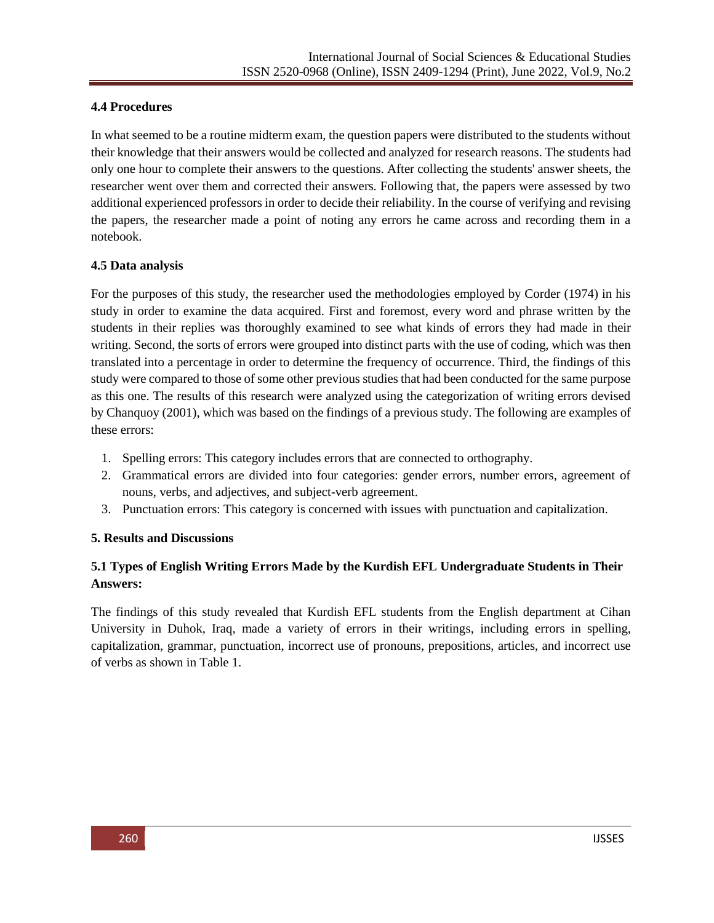### **4.4 Procedures**

In what seemed to be a routine midterm exam, the question papers were distributed to the students without their knowledge that their answers would be collected and analyzed for research reasons. The students had only one hour to complete their answers to the questions. After collecting the students' answer sheets, the researcher went over them and corrected their answers. Following that, the papers were assessed by two additional experienced professors in order to decide their reliability. In the course of verifying and revising the papers, the researcher made a point of noting any errors he came across and recording them in a notebook.

### **4.5 Data analysis**

For the purposes of this study, the researcher used the methodologies employed by Corder (1974) in his study in order to examine the data acquired. First and foremost, every word and phrase written by the students in their replies was thoroughly examined to see what kinds of errors they had made in their writing. Second, the sorts of errors were grouped into distinct parts with the use of coding, which was then translated into a percentage in order to determine the frequency of occurrence. Third, the findings of this study were compared to those of some other previous studies that had been conducted for the same purpose as this one. The results of this research were analyzed using the categorization of writing errors devised by Chanquoy (2001), which was based on the findings of a previous study. The following are examples of these errors:

- 1. Spelling errors: This category includes errors that are connected to orthography.
- 2. Grammatical errors are divided into four categories: gender errors, number errors, agreement of nouns, verbs, and adjectives, and subject-verb agreement.
- 3. Punctuation errors: This category is concerned with issues with punctuation and capitalization.

### **5. Results and Discussions**

# **5.1 Types of English Writing Errors Made by the Kurdish EFL Undergraduate Students in Their Answers:**

The findings of this study revealed that Kurdish EFL students from the English department at Cihan University in Duhok, Iraq, made a variety of errors in their writings, including errors in spelling, capitalization, grammar, punctuation, incorrect use of pronouns, prepositions, articles, and incorrect use of verbs as shown in Table 1.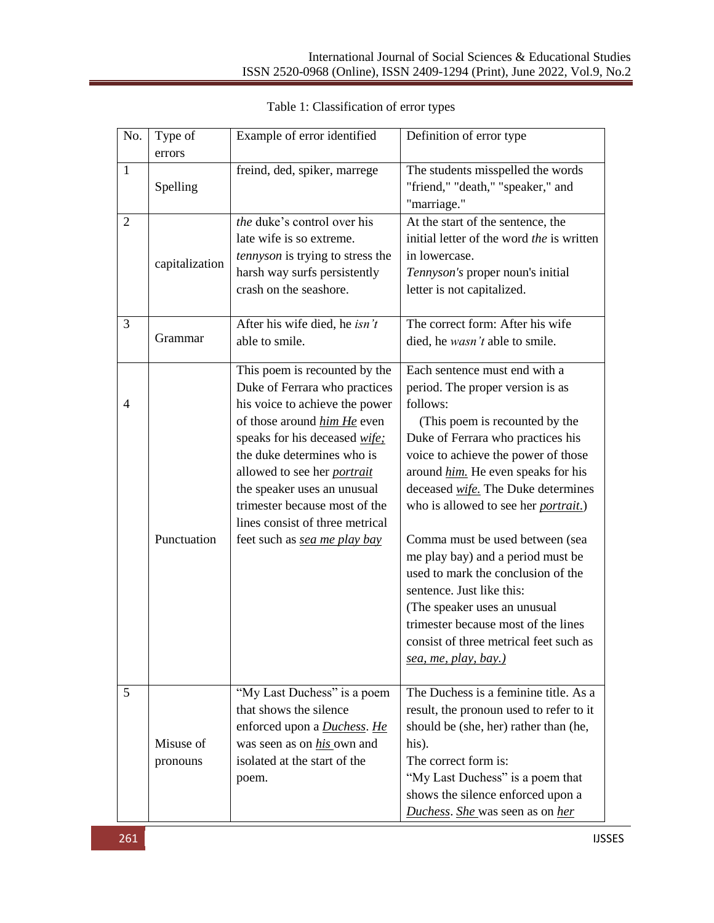| No.            | Type of               | Example of error identified                                                                                                                                                                                                                                                                                                                                             | Definition of error type                                                                                                                                                                                                                                                                                                                                                                                                                                                                                                                                                                                            |  |
|----------------|-----------------------|-------------------------------------------------------------------------------------------------------------------------------------------------------------------------------------------------------------------------------------------------------------------------------------------------------------------------------------------------------------------------|---------------------------------------------------------------------------------------------------------------------------------------------------------------------------------------------------------------------------------------------------------------------------------------------------------------------------------------------------------------------------------------------------------------------------------------------------------------------------------------------------------------------------------------------------------------------------------------------------------------------|--|
|                | errors                |                                                                                                                                                                                                                                                                                                                                                                         |                                                                                                                                                                                                                                                                                                                                                                                                                                                                                                                                                                                                                     |  |
| $\mathbf{1}$   | Spelling              | freind, ded, spiker, marrege                                                                                                                                                                                                                                                                                                                                            | The students misspelled the words<br>"friend," "death," "speaker," and<br>"marriage."                                                                                                                                                                                                                                                                                                                                                                                                                                                                                                                               |  |
| $\overline{2}$ | capitalization        | the duke's control over his<br>late wife is so extreme.<br>tennyson is trying to stress the<br>harsh way surfs persistently<br>crash on the seashore.                                                                                                                                                                                                                   | At the start of the sentence, the<br>initial letter of the word the is written<br>in lowercase.<br>Tennyson's proper noun's initial<br>letter is not capitalized.                                                                                                                                                                                                                                                                                                                                                                                                                                                   |  |
| 3              | Grammar               | After his wife died, he isn't<br>able to smile.                                                                                                                                                                                                                                                                                                                         | The correct form: After his wife<br>died, he wasn't able to smile.                                                                                                                                                                                                                                                                                                                                                                                                                                                                                                                                                  |  |
| $\overline{4}$ | Punctuation           | This poem is recounted by the<br>Duke of Ferrara who practices<br>his voice to achieve the power<br>of those around him He even<br>speaks for his deceased wife:<br>the duke determines who is<br>allowed to see her <i>portrait</i><br>the speaker uses an unusual<br>trimester because most of the<br>lines consist of three metrical<br>feet such as sea me play bay | Each sentence must end with a<br>period. The proper version is as<br>follows:<br>(This poem is recounted by the<br>Duke of Ferrara who practices his<br>voice to achieve the power of those<br>around him. He even speaks for his<br>deceased <i>wife</i> . The Duke determines<br>who is allowed to see her <i>portrait</i> .)<br>Comma must be used between (sea<br>me play bay) and a period must be<br>used to mark the conclusion of the<br>sentence. Just like this:<br>(The speaker uses an unusual<br>trimester because most of the lines<br>consist of three metrical feet such as<br>sea, me, play, bay.) |  |
| 5              | Misuse of<br>pronouns | "My Last Duchess" is a poem<br>that shows the silence<br>enforced upon a <b>Duchess</b> . He<br>was seen as on his own and<br>isolated at the start of the<br>poem.                                                                                                                                                                                                     | The Duchess is a feminine title. As a<br>result, the pronoun used to refer to it<br>should be (she, her) rather than (he,<br>his).<br>The correct form is:<br>"My Last Duchess" is a poem that<br>shows the silence enforced upon a<br>Duchess. She was seen as on her                                                                                                                                                                                                                                                                                                                                              |  |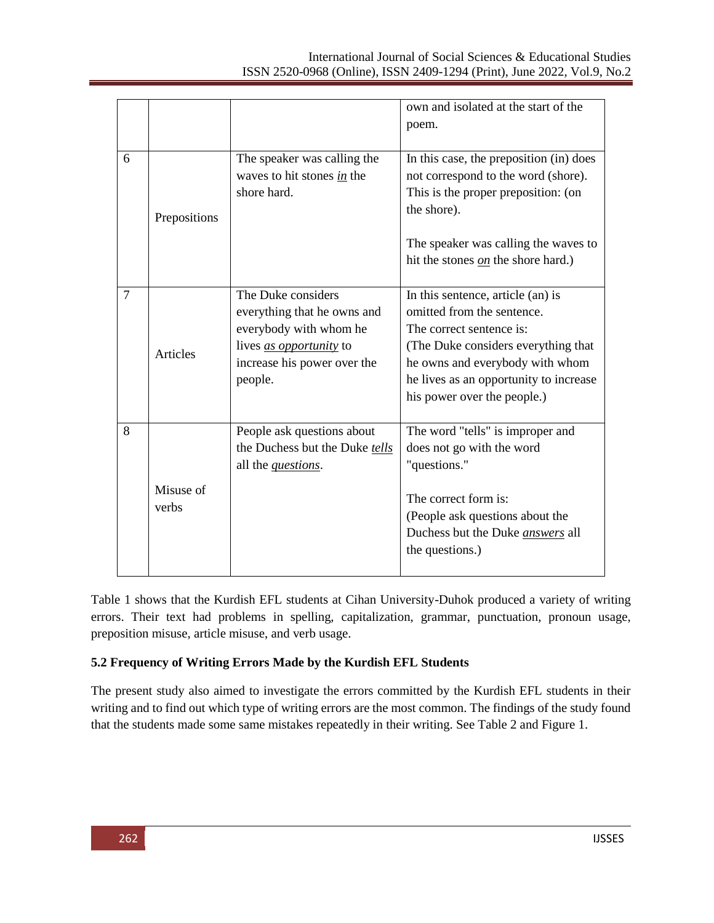|                |                    |                                                                                                                                                         | own and isolated at the start of the<br>poem.                                                                                                                                                                                                   |
|----------------|--------------------|---------------------------------------------------------------------------------------------------------------------------------------------------------|-------------------------------------------------------------------------------------------------------------------------------------------------------------------------------------------------------------------------------------------------|
| 6              | Prepositions       | The speaker was calling the<br>waves to hit stones in the<br>shore hard.                                                                                | In this case, the preposition (in) does<br>not correspond to the word (shore).<br>This is the proper preposition: (on<br>the shore).<br>The speaker was calling the waves to<br>hit the stones on the shore hard.)                              |
| $\overline{7}$ | Articles           | The Duke considers<br>everything that he owns and<br>everybody with whom he<br>lives <i>as opportunity</i> to<br>increase his power over the<br>people. | In this sentence, article (an) is<br>omitted from the sentence.<br>The correct sentence is:<br>(The Duke considers everything that)<br>he owns and everybody with whom<br>he lives as an opportunity to increase<br>his power over the people.) |
| 8              | Misuse of<br>verbs | People ask questions about<br>the Duchess but the Duke tells<br>all the <i>questions</i> .                                                              | The word "tells" is improper and<br>does not go with the word<br>"questions."<br>The correct form is:<br>(People ask questions about the<br>Duchess but the Duke <i>answers</i> all<br>the questions.)                                          |

Table 1 shows that the Kurdish EFL students at Cihan University-Duhok produced a variety of writing errors. Their text had problems in spelling, capitalization, grammar, punctuation, pronoun usage, preposition misuse, article misuse, and verb usage.

# **5.2 Frequency of Writing Errors Made by the Kurdish EFL Students**

The present study also aimed to investigate the errors committed by the Kurdish EFL students in their writing and to find out which type of writing errors are the most common. The findings of the study found that the students made some same mistakes repeatedly in their writing. See Table 2 and Figure 1.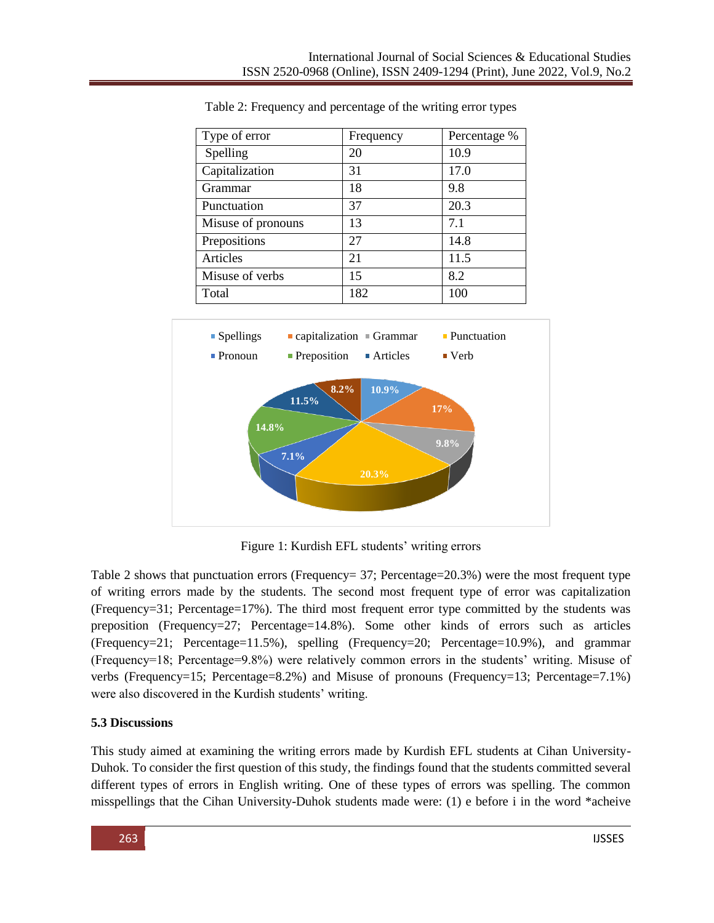| Type of error      | Frequency | Percentage % |
|--------------------|-----------|--------------|
| Spelling           | 20        | 10.9         |
| Capitalization     | 31        | 17.0         |
| Grammar            | 18        | 9.8          |
| Punctuation        | 37        | 20.3         |
| Misuse of pronouns | 13        | 7.1          |
| Prepositions       | 27        | 14.8         |
| Articles           | 21        | 11.5         |
| Misuse of verbs    | 15        | 8.2          |
| Total              | 182       | 100          |

Table 2: Frequency and percentage of the writing error types



Figure 1: Kurdish EFL students' writing errors

Table 2 shows that punctuation errors (Frequency= 37; Percentage=  $20.3\%$ ) were the most frequent type of writing errors made by the students. The second most frequent type of error was capitalization (Frequency=31; Percentage=17%). The third most frequent error type committed by the students was preposition (Frequency=27; Percentage=14.8%). Some other kinds of errors such as articles (Frequency=21; Percentage=11.5%), spelling (Frequency=20; Percentage=10.9%), and grammar (Frequency=18; Percentage=9.8%) were relatively common errors in the students' writing. Misuse of verbs (Frequency=15; Percentage=8.2%) and Misuse of pronouns (Frequency=13; Percentage=7.1%) were also discovered in the Kurdish students' writing.

# **5.3 Discussions**

This study aimed at examining the writing errors made by Kurdish EFL students at Cihan University-Duhok. To consider the first question of this study, the findings found that the students committed several different types of errors in English writing. One of these types of errors was spelling. The common misspellings that the Cihan University-Duhok students made were: (1) e before i in the word \*acheive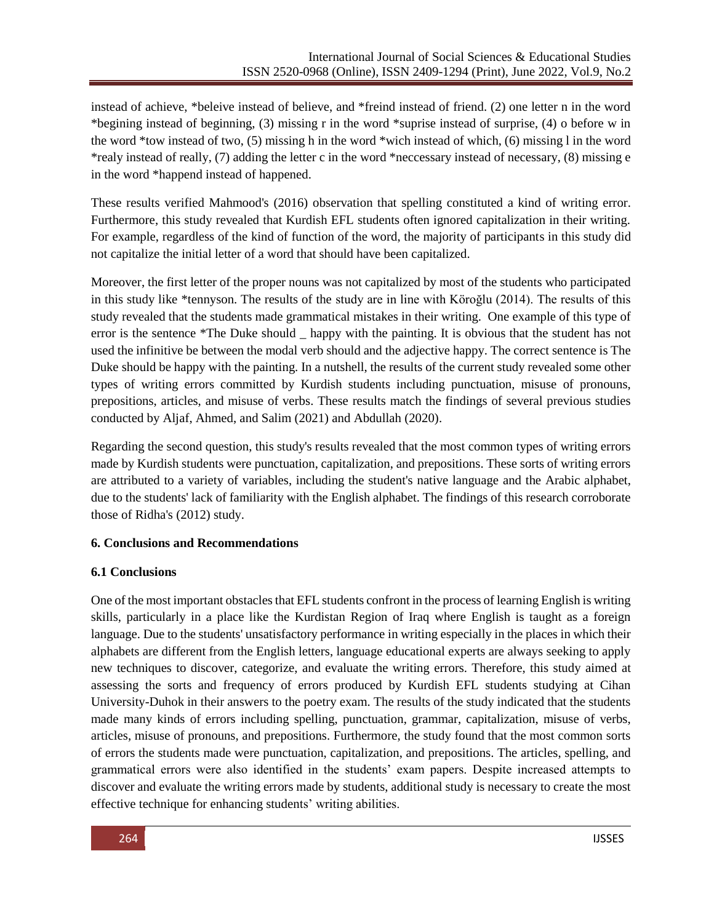instead of achieve, \*beleive instead of believe, and \*freind instead of friend. (2) one letter n in the word \*begining instead of beginning, (3) missing r in the word \*suprise instead of surprise, (4) o before w in the word \*tow instead of two, (5) missing h in the word \*wich instead of which, (6) missing l in the word \*realy instead of really, (7) adding the letter c in the word \*neccessary instead of necessary, (8) missing e in the word \*happend instead of happened.

These results verified Mahmood's (2016) observation that spelling constituted a kind of writing error. Furthermore, this study revealed that Kurdish EFL students often ignored capitalization in their writing. For example, regardless of the kind of function of the word, the majority of participants in this study did not capitalize the initial letter of a word that should have been capitalized.

Moreover, the first letter of the proper nouns was not capitalized by most of the students who participated in this study like \*tennyson. The results of the study are in line with Köroğlu (2014). The results of this study revealed that the students made grammatical mistakes in their writing. One example of this type of error is the sentence \*The Duke should \_ happy with the painting. It is obvious that the student has not used the infinitive be between the modal verb should and the adjective happy. The correct sentence is The Duke should be happy with the painting. In a nutshell, the results of the current study revealed some other types of writing errors committed by Kurdish students including punctuation, misuse of pronouns, prepositions, articles, and misuse of verbs. These results match the findings of several previous studies conducted by Aljaf, Ahmed, and Salim (2021) and Abdullah (2020).

Regarding the second question, this study's results revealed that the most common types of writing errors made by Kurdish students were punctuation, capitalization, and prepositions. These sorts of writing errors are attributed to a variety of variables, including the student's native language and the Arabic alphabet, due to the students' lack of familiarity with the English alphabet. The findings of this research corroborate those of Ridha's (2012) study.

### **6. Conclusions and Recommendations**

### **6.1 Conclusions**

One of the most important obstacles that EFL students confront in the process of learning English is writing skills, particularly in a place like the Kurdistan Region of Iraq where English is taught as a foreign language. Due to the students' unsatisfactory performance in writing especially in the places in which their alphabets are different from the English letters, language educational experts are always seeking to apply new techniques to discover, categorize, and evaluate the writing errors. Therefore, this study aimed at assessing the sorts and frequency of errors produced by Kurdish EFL students studying at Cihan University-Duhok in their answers to the poetry exam. The results of the study indicated that the students made many kinds of errors including spelling, punctuation, grammar, capitalization, misuse of verbs, articles, misuse of pronouns, and prepositions. Furthermore, the study found that the most common sorts of errors the students made were punctuation, capitalization, and prepositions. The articles, spelling, and grammatical errors were also identified in the students' exam papers. Despite increased attempts to discover and evaluate the writing errors made by students, additional study is necessary to create the most effective technique for enhancing students' writing abilities.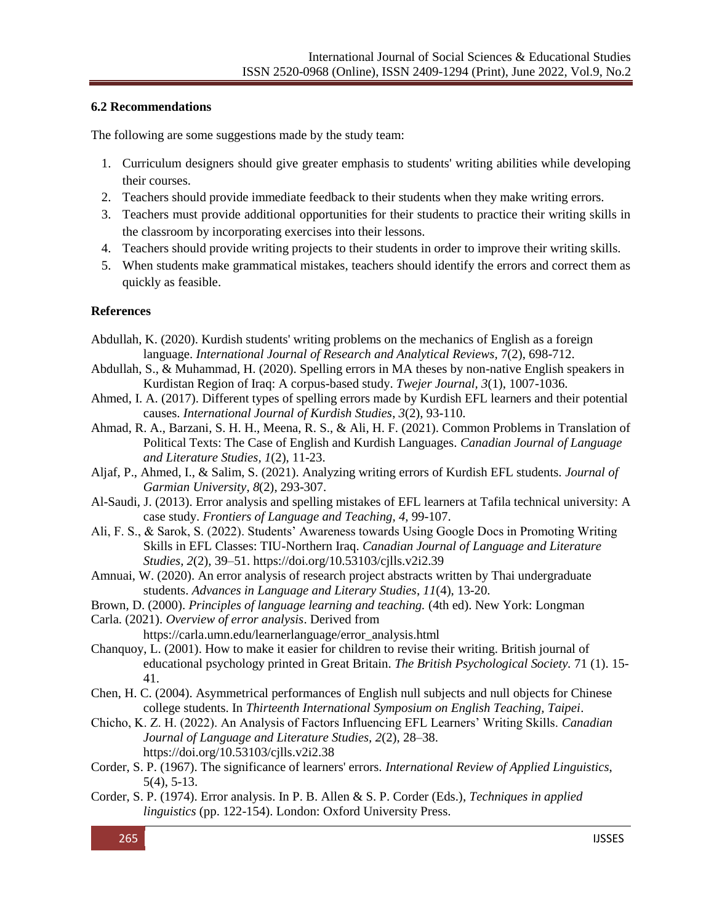### **6.2 Recommendations**

The following are some suggestions made by the study team:

- 1. Curriculum designers should give greater emphasis to students' writing abilities while developing their courses.
- 2. Teachers should provide immediate feedback to their students when they make writing errors.
- 3. Teachers must provide additional opportunities for their students to practice their writing skills in the classroom by incorporating exercises into their lessons.
- 4. Teachers should provide writing projects to their students in order to improve their writing skills.
- 5. When students make grammatical mistakes, teachers should identify the errors and correct them as quickly as feasible.

### **References**

- Abdullah, K. (2020). Kurdish students' writing problems on the mechanics of English as a foreign language. *International Journal of Research and Analytical Reviews,* 7(2), 698-712.
- Abdullah, S., & Muhammad, H. (2020). Spelling errors in MA theses by non-native English speakers in Kurdistan Region of Iraq: A corpus-based study. *Twejer Journal, 3*(1), 1007-1036.
- Ahmed, I. A. (2017). Different types of spelling errors made by Kurdish EFL learners and their potential causes. *International Journal of Kurdish Studies*, *3*(2), 93-110.
- Ahmad, R. A., Barzani, S. H. H., Meena, R. S., & Ali, H. F. (2021). Common Problems in Translation of Political Texts: The Case of English and Kurdish Languages. *Canadian Journal of Language and Literature Studies, 1*(2), 11-23.
- Aljaf, P., Ahmed, I., & Salim, S. (2021). Analyzing writing errors of Kurdish EFL students. *Journal of Garmian University*, *8*(2), 293-307.
- Al-Saudi, J. (2013). Error analysis and spelling mistakes of EFL learners at Tafila technical university: A case study. *Frontiers of Language and Teaching, 4,* 99-107.
- Ali, F. S., & Sarok, S. (2022). Students' Awareness towards Using Google Docs in Promoting Writing Skills in EFL Classes: TIU-Northern Iraq. *Canadian Journal of Language and Literature Studies, 2*(2), 39–51. https://doi.org/10.53103/cjlls.v2i2.39
- Amnuai, W. (2020). An error analysis of research project abstracts written by Thai undergraduate students. *Advances in Language and Literary Studies*, *11*(4), 13-20.
- Brown, D. (2000). *Principles of language learning and teaching.* (4th ed). New York: Longman
- Carla. (2021). *Overview of error analysis*. Derived from

https://carla.umn.edu/learnerlanguage/error\_analysis.html

- Chanquoy, L. (2001). How to make it easier for children to revise their writing. British journal of educational psychology printed in Great Britain. *The British Psychological Society.* 71 (1). 15- 41.
- Chen, H. C. (2004). Asymmetrical performances of English null subjects and null objects for Chinese college students. In *Thirteenth International Symposium on English Teaching, Taipei*.
- Chicho, K. Z. H. (2022). An Analysis of Factors Influencing EFL Learners' Writing Skills. *Canadian Journal of Language and Literature Studies, 2*(2), 28–38. https://doi.org/10.53103/cjlls.v2i2.38
- Corder, S. P. (1967). The significance of learners' errors. *International Review of Applied Linguistics*, 5(4), 5-13.
- Corder, S. P. (1974). Error analysis. In P. B. Allen & S. P. Corder (Eds.), *Techniques in applied linguistics* (pp. 122-154). London: Oxford University Press.